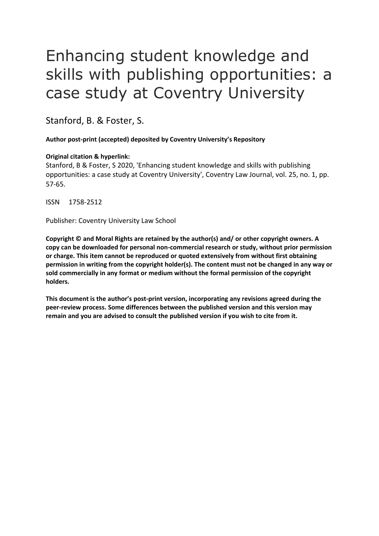# Enhancing student knowledge and skills with publishing opportunities: a case study at Coventry University

Stanford, B. & Foster, S.

**Author post-print (accepted) deposited by Coventry University's Repository**

# **Original citation & hyperlink:**

Stanford, B & Foster, S 2020, 'Enhancing student knowledge and skills with publishing opportunities: a case study at Coventry University', Coventry Law Journal, vol. 25, no. 1, pp. 57-65.

ISSN 1758-2512

Publisher: Coventry University Law School

**Copyright © and Moral Rights are retained by the author(s) and/ or other copyright owners. A copy can be downloaded for personal non-commercial research or study, without prior permission or charge. This item cannot be reproduced or quoted extensively from without first obtaining permission in writing from the copyright holder(s). The content must not be changed in any way or sold commercially in any format or medium without the formal permission of the copyright holders.** 

**This document is the author's post-print version, incorporating any revisions agreed during the peer-review process. Some differences between the published version and this version may remain and you are advised to consult the published version if you wish to cite from it.**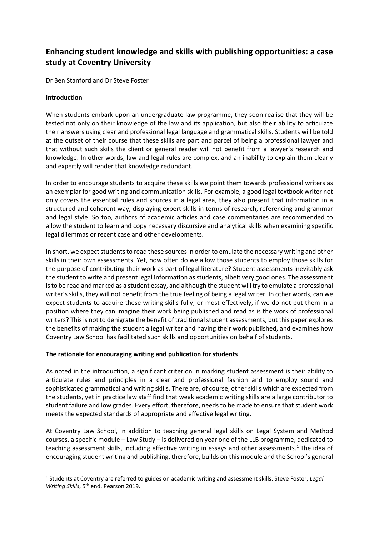# **Enhancing student knowledge and skills with publishing opportunities: a case study at Coventry University**

Dr Ben Stanford and Dr Steve Foster

# **Introduction**

When students embark upon an undergraduate law programme, they soon realise that they will be tested not only on their knowledge of the law and its application, but also their ability to articulate their answers using clear and professional legal language and grammatical skills. Students will be told at the outset of their course that these skills are part and parcel of being a professional lawyer and that without such skills the client or general reader will not benefit from a lawyer's research and knowledge. In other words, law and legal rules are complex, and an inability to explain them clearly and expertly will render that knowledge redundant.

In order to encourage students to acquire these skills we point them towards professional writers as an exemplar for good writing and communication skills. For example, a good legal textbook writer not only covers the essential rules and sources in a legal area, they also present that information in a structured and coherent way, displaying expert skills in terms of research, referencing and grammar and legal style. So too, authors of academic articles and case commentaries are recommended to allow the student to learn and copy necessary discursive and analytical skills when examining specific legal dilemmas or recent case and other developments.

In short, we expect students to read these sources in order to emulate the necessary writing and other skills in their own assessments. Yet, how often do we allow those students to employ those skills for the purpose of contributing their work as part of legal literature? Student assessments inevitably ask the student to write and present legal information as students, albeit very good ones. The assessment is to be read and marked as a student essay, and although the student will try to emulate a professional writer's skills, they will not benefit from the true feeling of being a legal writer. In other words, can we expect students to acquire these writing skills fully, or most effectively, if we do not put them in a position where they can imagine their work being published and read as is the work of professional writers? This is not to denigrate the benefit of traditional student assessments, but this paper explores the benefits of making the student a legal writer and having their work published, and examines how Coventry Law School has facilitated such skills and opportunities on behalf of students.

# **The rationale for encouraging writing and publication for students**

As noted in the introduction, a significant criterion in marking student assessment is their ability to articulate rules and principles in a clear and professional fashion and to employ sound and sophisticated grammatical and writing skills. There are, of course, other skills which are expected from the students, yet in practice law staff find that weak academic writing skills are a large contributor to student failure and low grades. Every effort, therefore, needs to be made to ensure that student work meets the expected standards of appropriate and effective legal writing.

At Coventry Law School, in addition to teaching general legal skills on Legal System and Method courses, a specific module – Law Study – is delivered on year one of the LLB programme, dedicated to teaching assessment skills, including effective writing in essays and other assessments.<sup>1</sup> The idea of encouraging student writing and publishing, therefore, builds on this module and the School's general

<sup>1</sup> Students at Coventry are referred to guides on academic writing and assessment skills: Steve Foster, *Legal Writing Skills*, 5<sup>th</sup> end. Pearson 2019.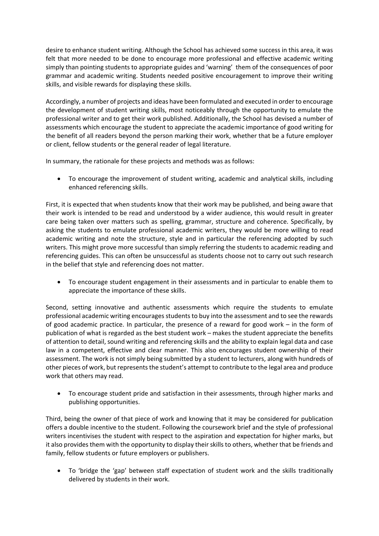desire to enhance student writing. Although the School has achieved some success in this area, it was felt that more needed to be done to encourage more professional and effective academic writing simply than pointing students to appropriate guides and 'warning' them of the consequences of poor grammar and academic writing. Students needed positive encouragement to improve their writing skills, and visible rewards for displaying these skills.

Accordingly, a number of projects and ideas have been formulated and executed in order to encourage the development of student writing skills, most noticeably through the opportunity to emulate the professional writer and to get their work published. Additionally, the School has devised a number of assessments which encourage the student to appreciate the academic importance of good writing for the benefit of all readers beyond the person marking their work, whether that be a future employer or client, fellow students or the general reader of legal literature.

In summary, the rationale for these projects and methods was as follows:

• To encourage the improvement of student writing, academic and analytical skills, including enhanced referencing skills.

First, it is expected that when students know that their work may be published, and being aware that their work is intended to be read and understood by a wider audience, this would result in greater care being taken over matters such as spelling, grammar, structure and coherence. Specifically, by asking the students to emulate professional academic writers, they would be more willing to read academic writing and note the structure, style and in particular the referencing adopted by such writers. This might prove more successful than simply referring the students to academic reading and referencing guides. This can often be unsuccessful as students choose not to carry out such research in the belief that style and referencing does not matter.

• To encourage student engagement in their assessments and in particular to enable them to appreciate the importance of these skills.

Second, setting innovative and authentic assessments which require the students to emulate professional academic writing encourages students to buy into the assessment and to see the rewards of good academic practice. In particular, the presence of a reward for good work – in the form of publication of what is regarded as the best student work – makes the student appreciate the benefits of attention to detail, sound writing and referencing skills and the ability to explain legal data and case law in a competent, effective and clear manner. This also encourages student ownership of their assessment. The work is not simply being submitted by a student to lecturers, along with hundreds of other pieces of work, but represents the student's attempt to contribute to the legal area and produce work that others may read.

• To encourage student pride and satisfaction in their assessments, through higher marks and publishing opportunities.

Third, being the owner of that piece of work and knowing that it may be considered for publication offers a double incentive to the student. Following the coursework brief and the style of professional writers incentivises the student with respect to the aspiration and expectation for higher marks, but it also provides them with the opportunity to display their skills to others, whether that be friends and family, fellow students or future employers or publishers.

• To 'bridge the 'gap' between staff expectation of student work and the skills traditionally delivered by students in their work.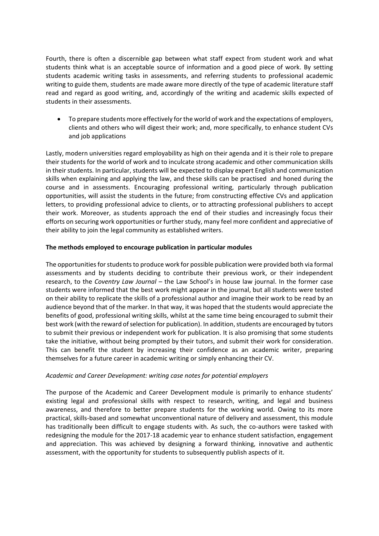Fourth, there is often a discernible gap between what staff expect from student work and what students think what is an acceptable source of information and a good piece of work. By setting students academic writing tasks in assessments, and referring students to professional academic writing to guide them, students are made aware more directly of the type of academic literature staff read and regard as good writing, and, accordingly of the writing and academic skills expected of students in their assessments.

• To prepare students more effectively for the world of work and the expectations of employers, clients and others who will digest their work; and, more specifically, to enhance student CVs and job applications

Lastly, modern universities regard employability as high on their agenda and it is their role to prepare their students for the world of work and to inculcate strong academic and other communication skills in their students. In particular, students will be expected to display expert English and communication skills when explaining and applying the law, and these skills can be practised and honed during the course and in assessments. Encouraging professional writing, particularly through publication opportunities, will assist the students in the future; from constructing effective CVs and application letters, to providing professional advice to clients, or to attracting professional publishers to accept their work. Moreover, as students approach the end of their studies and increasingly focus their efforts on securing work opportunities or further study, many feel more confident and appreciative of their ability to join the legal community as established writers.

# **The methods employed to encourage publication in particular modules**

The opportunities for students to produce work for possible publication were provided both via formal assessments and by students deciding to contribute their previous work, or their independent research, to the *Coventry Law Journal* - the Law School's in house law journal. In the former case students were informed that the best work might appear in the journal, but all students were tested on their ability to replicate the skills of a professional author and imagine their work to be read by an audience beyond that of the marker. In that way, it was hoped that the students would appreciate the benefits of good, professional writing skills, whilst at the same time being encouraged to submit their best work (with the reward of selection for publication). In addition, students are encouraged by tutors to submit their previous or independent work for publication. It is also promising that some students take the initiative, without being prompted by their tutors, and submit their work for consideration. This can benefit the student by increasing their confidence as an academic writer, preparing themselves for a future career in academic writing or simply enhancing their CV.

# *Academic and Career Development: writing case notes for potential employers*

The purpose of the Academic and Career Development module is primarily to enhance students' existing legal and professional skills with respect to research, writing, and legal and business awareness, and therefore to better prepare students for the working world. Owing to its more practical, skills-based and somewhat unconventional nature of delivery and assessment, this module has traditionally been difficult to engage students with. As such, the co-authors were tasked with redesigning the module for the 2017-18 academic year to enhance student satisfaction, engagement and appreciation. This was achieved by designing a forward thinking, innovative and authentic assessment, with the opportunity for students to subsequently publish aspects of it.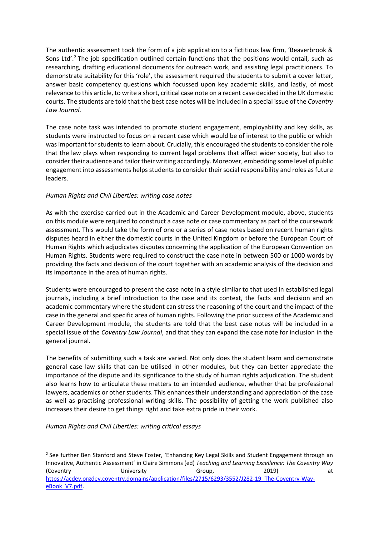The authentic assessment took the form of a job application to a fictitious law firm, 'Beaverbrook & Sons Ltd'.<sup>2</sup> The job specification outlined certain functions that the positions would entail, such as researching, drafting educational documents for outreach work, and assisting legal practitioners. To demonstrate suitability for this 'role', the assessment required the students to submit a cover letter, answer basic competency questions which focussed upon key academic skills, and lastly, of most relevance to this article, to write a short, critical case note on a recent case decided in the UK domestic courts. The students are told that the best case notes will be included in a special issue of the *Coventry Law Journal*.

The case note task was intended to promote student engagement, employability and key skills, as students were instructed to focus on a recent case which would be of interest to the public or which was important for students to learn about. Crucially, this encouraged the students to consider the role that the law plays when responding to current legal problems that affect wider society, but also to consider their audience and tailor their writing accordingly. Moreover, embedding some level of public engagement into assessments helps students to consider their social responsibility and roles as future leaders.

# *Human Rights and Civil Liberties: writing case notes*

As with the exercise carried out in the Academic and Career Development module, above, students on this module were required to construct a case note or case commentary as part of the coursework assessment. This would take the form of one or a series of case notes based on recent human rights disputes heard in either the domestic courts in the United Kingdom or before the European Court of Human Rights which adjudicates disputes concerning the application of the European Convention on Human Rights. Students were required to construct the case note in between 500 or 1000 words by providing the facts and decision of the court together with an academic analysis of the decision and its importance in the area of human rights.

Students were encouraged to present the case note in a style similar to that used in established legal journals, including a brief introduction to the case and its context, the facts and decision and an academic commentary where the student can stress the reasoning of the court and the impact of the case in the general and specific area of human rights. Following the prior success of the Academic and Career Development module, the students are told that the best case notes will be included in a special issue of the *Coventry Law Journal*, and that they can expand the case note for inclusion in the general journal.

The benefits of submitting such a task are varied. Not only does the student learn and demonstrate general case law skills that can be utilised in other modules, but they can better appreciate the importance of the dispute and its significance to the study of human rights adjudication. The student also learns how to articulate these matters to an intended audience, whether that be professional lawyers, academics or other students. This enhances their understanding and appreciation of the case as well as practising professional writing skills. The possibility of getting the work published also increases their desire to get things right and take extra pride in their work.

# *Human Rights and Civil Liberties: writing critical essays*

<sup>&</sup>lt;sup>2</sup> See further Ben Stanford and Steve Foster, 'Enhancing Key Legal Skills and Student Engagement through an Innovative, Authentic Assessment' in Claire Simmons (ed) *Teaching and Learning Excellence: The Coventry Way*  (Coventry University Group, 2019) at [https://acdev.orgdev.coventry.domains/application/files/2715/6293/3552/J282-19\\_The-Coventry-Way](https://acdev.orgdev.coventry.domains/application/files/2715/6293/3552/J282-19_The-Coventry-Way-eBook_V7.pdf)[eBook\\_V7.pdf.](https://acdev.orgdev.coventry.domains/application/files/2715/6293/3552/J282-19_The-Coventry-Way-eBook_V7.pdf)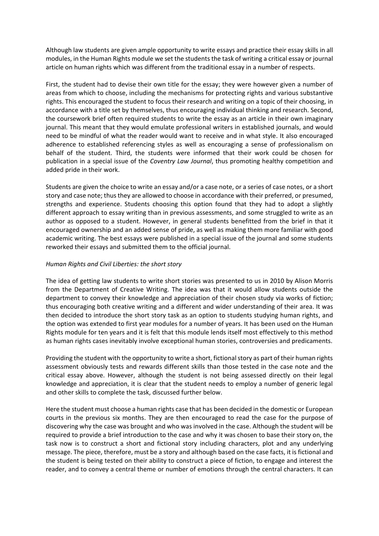Although law students are given ample opportunity to write essays and practice their essay skills in all modules, in the Human Rights module we set the students the task of writing a critical essay or journal article on human rights which was different from the traditional essay in a number of respects.

First, the student had to devise their own title for the essay; they were however given a number of areas from which to choose, including the mechanisms for protecting rights and various substantive rights. This encouraged the student to focus their research and writing on a topic of their choosing, in accordance with a title set by themselves, thus encouraging individual thinking and research. Second, the coursework brief often required students to write the essay as an article in their own imaginary journal. This meant that they would emulate professional writers in established journals, and would need to be mindful of what the reader would want to receive and in what style. It also encouraged adherence to established referencing styles as well as encouraging a sense of professionalism on behalf of the student. Third, the students were informed that their work could be chosen for publication in a special issue of the *Coventry Law Journal*, thus promoting healthy competition and added pride in their work.

Students are given the choice to write an essay and/or a case note, or a series of case notes, or a short story and case note; thus they are allowed to choose in accordance with their preferred, or presumed, strengths and experience. Students choosing this option found that they had to adopt a slightly different approach to essay writing than in previous assessments, and some struggled to write as an author as opposed to a student. However, in general students benefitted from the brief in that it encouraged ownership and an added sense of pride, as well as making them more familiar with good academic writing. The best essays were published in a special issue of the journal and some students reworked their essays and submitted them to the official journal.

# *Human Rights and Civil Liberties: the short story*

The idea of getting law students to write short stories was presented to us in 2010 by Alison Morris from the Department of Creative Writing. The idea was that it would allow students outside the department to convey their knowledge and appreciation of their chosen study via works of fiction; thus encouraging both creative writing and a different and wider understanding of their area. It was then decided to introduce the short story task as an option to students studying human rights, and the option was extended to first year modules for a number of years. It has been used on the Human Rights module for ten years and it is felt that this module lends itself most effectively to this method as human rights cases inevitably involve exceptional human stories, controversies and predicaments.

Providing the student with the opportunity to write a short, fictional story as part of their human rights assessment obviously tests and rewards different skills than those tested in the case note and the critical essay above. However, although the student is not being assessed directly on their legal knowledge and appreciation, it is clear that the student needs to employ a number of generic legal and other skills to complete the task, discussed further below.

Here the student must choose a human rights case that has been decided in the domestic or European courts in the previous six months. They are then encouraged to read the case for the purpose of discovering why the case was brought and who was involved in the case. Although the student will be required to provide a brief introduction to the case and why it was chosen to base their story on, the task now is to construct a short and fictional story including characters, plot and any underlying message. The piece, therefore, must be a story and although based on the case facts, it is fictional and the student is being tested on their ability to construct a piece of fiction, to engage and interest the reader, and to convey a central theme or number of emotions through the central characters. It can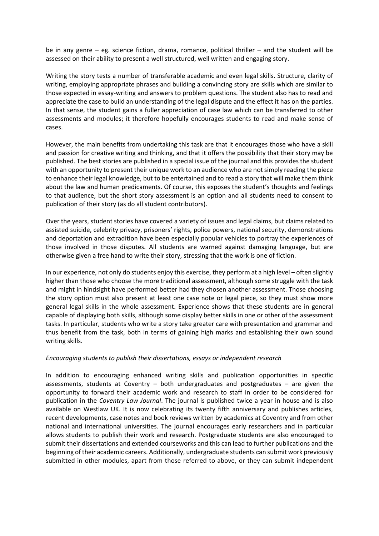be in any genre – eg. science fiction, drama, romance, political thriller – and the student will be assessed on their ability to present a well structured, well written and engaging story.

Writing the story tests a number of transferable academic and even legal skills. Structure, clarity of writing, employing appropriate phrases and building a convincing story are skills which are similar to those expected in essay-writing and answers to problem questions. The student also has to read and appreciate the case to build an understanding of the legal dispute and the effect it has on the parties. In that sense, the student gains a fuller appreciation of case law which can be transferred to other assessments and modules; it therefore hopefully encourages students to read and make sense of cases.

However, the main benefits from undertaking this task are that it encourages those who have a skill and passion for creative writing and thinking, and that it offers the possibility that their story may be published. The best stories are published in a special issue of the journal and this provides the student with an opportunity to present their unique work to an audience who are not simply reading the piece to enhance their legal knowledge, but to be entertained and to read a story that will make them think about the law and human predicaments. Of course, this exposes the student's thoughts and feelings to that audience, but the short story assessment is an option and all students need to consent to publication of their story (as do all student contributors).

Over the years, student stories have covered a variety of issues and legal claims, but claims related to assisted suicide, celebrity privacy, prisoners' rights, police powers, national security, demonstrations and deportation and extradition have been especially popular vehicles to portray the experiences of those involved in those disputes. All students are warned against damaging language, but are otherwise given a free hand to write their story, stressing that the work is one of fiction.

In our experience, not only do students enjoy this exercise, they perform at a high level – often slightly higher than those who choose the more traditional assessment, although some struggle with the task and might in hindsight have performed better had they chosen another assessment. Those choosing the story option must also present at least one case note or legal piece, so they must show more general legal skills in the whole assessment. Experience shows that these students are in general capable of displaying both skills, although some display better skills in one or other of the assessment tasks. In particular, students who write a story take greater care with presentation and grammar and thus benefit from the task, both in terms of gaining high marks and establishing their own sound writing skills.

# *Encouraging students to publish their dissertations, essays or independent research*

In addition to encouraging enhanced writing skills and publication opportunities in specific assessments, students at Coventry  $-$  both undergraduates and postgraduates  $-$  are given the opportunity to forward their academic work and research to staff in order to be considered for publication in the *Coventry Law Journal*. The journal is published twice a year in house and is also available on Westlaw UK. It is now celebrating its twenty fifth anniversary and publishes articles, recent developments, case notes and book reviews written by academics at Coventry and from other national and international universities. The journal encourages early researchers and in particular allows students to publish their work and research. Postgraduate students are also encouraged to submit their dissertations and extended courseworks and this can lead to further publications and the beginning of their academic careers. Additionally, undergraduate students can submit work previously submitted in other modules, apart from those referred to above, or they can submit independent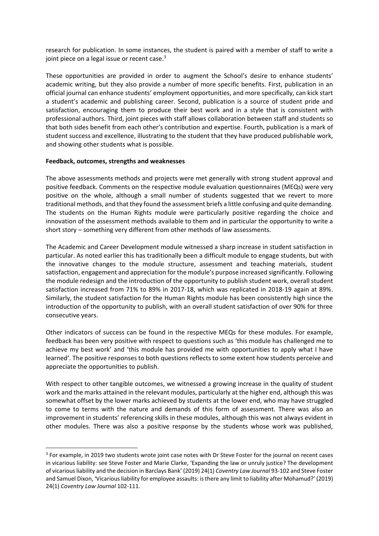research for publication. In some instances, the student is paired with a member of staff to write a joint piece on a legal issue or recent case.<sup>3</sup>

These opportunities are provided in order to augment the School's desire to enhance students' academic writing, but they also provide a number of more specific benefits. First, publication in an official journal can enhance students' employment opportunities, and more specifically, can kick start a student's academic and publishing career. Second, publication is a source of student pride and satisfaction, encouraging them to produce their best work and in a style that is consistent with professional authors. Third, joint pieces with staff allows collaboration between staff and students so that both sides benefit from each other's contribution and expertise. Fourth, publication is a mark of student success and excellence, illustrating to the student that they have produced publishable work, and showing other students what is possible.

# **Feedback, outcomes, strengths and weaknesses**

The above assessments methods and projects were met generally with strong student approval and positive feedback. Comments on the respective module evaluation questionnaires (MEQs) were very positive on the whole, although a small number of students suggested that we revert to more traditional methods, and that they found the assessment briefs a little confusing and quite demanding. The students on the Human Rights module were particularly positive regarding the choice and innovation of the assessment methods available to them and in particular the opportunity to write a short story – something very different from other methods of law assessments.

The Academic and Career Development module witnessed a sharp increase in student satisfaction in particular. As noted earlier this has traditionally been a difficult module to engage students, but with the innovative changes to the module structure, assessment and teaching materials, student satisfaction, engagement and appreciation for the module's purpose increased significantly. Following the module redesign and the introduction of the opportunity to publish student work, overall student satisfaction increased from 71% to 89% in 2017-18, which was replicated in 2018-19 again at 89%. Similarly, the student satisfaction for the Human Rights module has been consistently high since the introduction of the opportunity to publish, with an overall student satisfaction of over 90% for three consecutive years.

Other indicators of success can be found in the respective MEQs for these modules. For example, feedback has been very positive with respect to questions such as 'this module has challenged me to achieve my best work' and 'this module has provided me with opportunities to apply what I have learned'. The positive responses to both questions reflects to some extent how students perceive and appreciate the opportunities to publish.

With respect to other tangible outcomes, we witnessed a growing increase in the quality of student work and the marks attained in the relevant modules, particularly at the higher end, although this was somewhat offset by the lower marks achieved by students at the lower end, who may have struggled to come to terms with the nature and demands of this form of assessment. There was also an improvement in students' referencing skills in these modules, although this was not always evident in other modules. There was also a positive response by the students whose work was published,

<sup>&</sup>lt;sup>3</sup> For example, in 2019 two students wrote joint case notes with Dr Steve Foster for the journal on recent cases in vicarious liability: see Steve Foster and Marie Clarke, 'Expanding the law or unruly justice? The development of vicarious liability and the decision in Barclays Bank' (2019) 24(1) *Coventry Law Journal* 93-102 and Steve Foster and Samuel Dixon, 'Vicarious liability for employee assaults: is there any limit to liability after Mohamud?' (2019) 24(1) *Coventry Law Journal* 102-111.